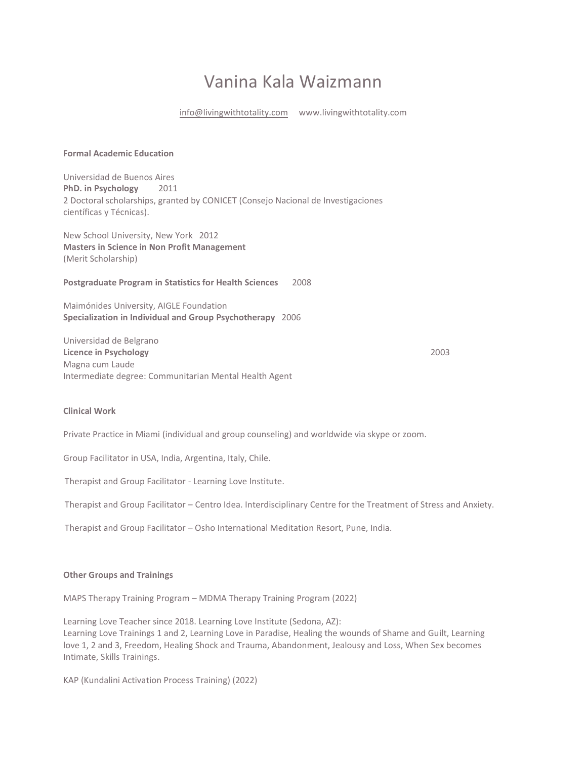## Vanina Kala Waizmann

[info@livingwithtotality.com](mailto:info@livingwithtotality.com) www.livingwithtotality.com

## **Formal Academic Education**

Universidad de Buenos Aires **PhD. in Psychology** 2011 2 Doctoral scholarships, granted by CONICET (Consejo Nacional de Investigaciones científicas y Técnicas).

New School University, New York2012 **Masters in Science in Non Profit Management**  (Merit Scholarship)

**Postgraduate Program in Statistics for Health Sciences** 2008

Maimónides University, AIGLE Foundation **Specialization in Individual and Group Psychotherapy** 2006

Universidad de Belgrano **Licence in Psychology** 2003 Magna cum Laude Intermediate degree: Communitarian Mental Health Agent

# **Clinical Work**

Private Practice in Miami (individual and group counseling) and worldwide via skype or zoom.

Group Facilitator in USA, India, Argentina, Italy, Chile.

Therapist and Group Facilitator - Learning Love Institute.

Therapist and Group Facilitator – Centro Idea. Interdisciplinary Centre for the Treatment of Stress and Anxiety.

Therapist and Group Facilitator – Osho International Meditation Resort, Pune, India.

## **Other Groups and Trainings**

MAPS Therapy Training Program – MDMA Therapy Training Program (2022)

Learning Love Teacher since 2018. Learning Love Institute (Sedona, AZ): Learning Love Trainings 1 and 2, Learning Love in Paradise, Healing the wounds of Shame and Guilt, Learning love 1, 2 and 3, Freedom, Healing Shock and Trauma, Abandonment, Jealousy and Loss, When Sex becomes Intimate, Skills Trainings.

KAP (Kundalini Activation Process Training) (2022)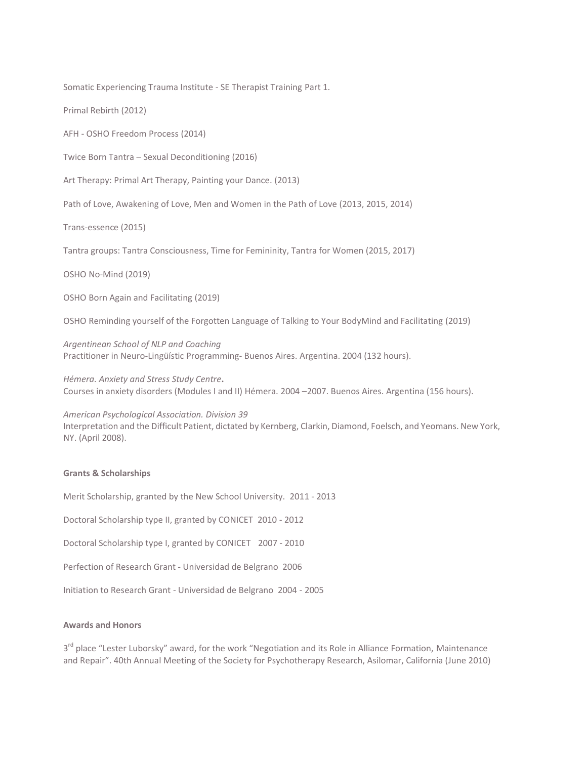Somatic Experiencing Trauma Institute - SE Therapist Training Part 1.

Primal Rebirth (2012)

AFH - OSHO Freedom Process (2014)

Twice Born Tantra – Sexual Deconditioning (2016)

Art Therapy: Primal Art Therapy, Painting your Dance. (2013)

Path of Love, Awakening of Love, Men and Women in the Path of Love (2013, 2015, 2014)

Trans-essence (2015)

Tantra groups: Tantra Consciousness, Time for Femininity, Tantra for Women (2015, 2017)

OSHO No-Mind (2019)

OSHO Born Again and Facilitating (2019)

OSHO Reminding yourself of the Forgotten Language of Talking to Your BodyMind and Facilitating (2019)

*Argentinean School of NLP and Coaching* Practitioner in Neuro-Lingüístic Programming- Buenos Aires. Argentina. 2004 (132 hours).

*Hémera. Anxiety and Stress Study Centre***.**  Courses in anxiety disorders (Modules I and II) Hémera. 2004 –2007. Buenos Aires. Argentina (156 hours).

*American Psychological Association. Division 39* Interpretation and the Difficult Patient, dictated by Kernberg, Clarkin, Diamond, Foelsch, and Yeomans. New York, NY. (April 2008).

#### **Grants & Scholarships**

Merit Scholarship, granted by the New School University. 2011 - 2013

Doctoral Scholarship type II, granted by CONICET 2010 - 2012

Doctoral Scholarship type I, granted by CONICET 2007 - 2010

Perfection of Research Grant - Universidad de Belgrano 2006

Initiation to Research Grant - Universidad de Belgrano 2004 - 2005

#### **Awards and Honors**

3<sup>rd</sup> place "Lester Luborsky" award, for the work "Negotiation and its Role in Alliance Formation, Maintenance and Repair". 40th Annual Meeting of the Society for Psychotherapy Research, Asilomar, California (June 2010)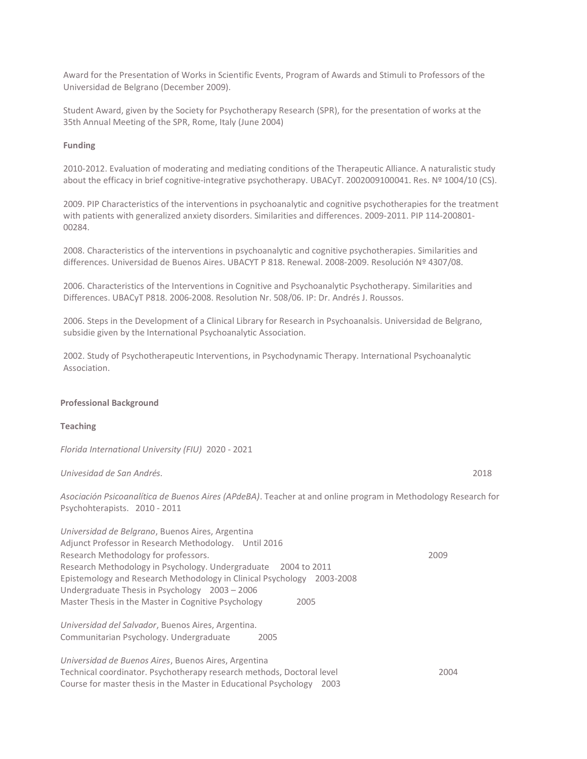Award for the Presentation of Works in Scientific Events, Program of Awards and Stimuli to Professors of the Universidad de Belgrano (December 2009).

Student Award, given by the Society for Psychotherapy Research (SPR), for the presentation of works at the 35th Annual Meeting of the SPR, Rome, Italy (June 2004)

#### **Funding**

2010-2012. Evaluation of moderating and mediating conditions of the Therapeutic Alliance. A naturalistic study about the efficacy in brief cognitive-integrative psychotherapy. UBACyT. 2002009100041. Res. Nº 1004/10 (CS).

2009. PIP Characteristics of the interventions in psychoanalytic and cognitive psychotherapies for the treatment with patients with generalized anxiety disorders. Similarities and differences. 2009-2011. PIP 114-200801- 00284.

2008. Characteristics of the interventions in psychoanalytic and cognitive psychotherapies. Similarities and differences. Universidad de Buenos Aires. UBACYT P 818. Renewal. 2008-2009. Resolución Nº 4307/08.

2006. Characteristics of the Interventions in Cognitive and Psychoanalytic Psychotherapy. Similarities and Differences. UBACyT P818. 2006-2008. Resolution Nr. 508/06. IP: Dr. Andrés J. Roussos.

2006. Steps in the Development of a Clinical Library for Research in Psychoanalsis. Universidad de Belgrano, subsidie given by the International Psychoanalytic Association.

2002. Study of Psychotherapeutic Interventions, in Psychodynamic Therapy. International Psychoanalytic Association.

#### **Professional Background**

#### **Teaching**

*Florida International University (FIU)* 2020 - 2021

#### *Univesidad de San Andrés.* 2018

*Asociación Psicoanalítica de Buenos Aires (APdeBA)*. Teacher at and online program in Methodology Research for Psychohterapists. 2010 - 2011

*Universidad de Belgrano*, Buenos Aires, Argentina Adjunct Professor in Research Methodology. Until 2016 Research Methodology for professors. 2009 Research Methodology in Psychology. Undergraduate 2004 to 2011 Epistemology and Research Methodology in Clinical Psychology 2003-2008 Undergraduate Thesis in Psychology 2003 – 2006 Master Thesis in the Master in Cognitive Psychology 2005 *Universidad del Salvador*, Buenos Aires, Argentina. Communitarian Psychology. Undergraduate 2005

*Universidad de Buenos Aires*, Buenos Aires, Argentina Technical coordinator. Psychotherapy research methods, Doctoral level 2004 Course for master thesis in the Master in Educational Psychology 2003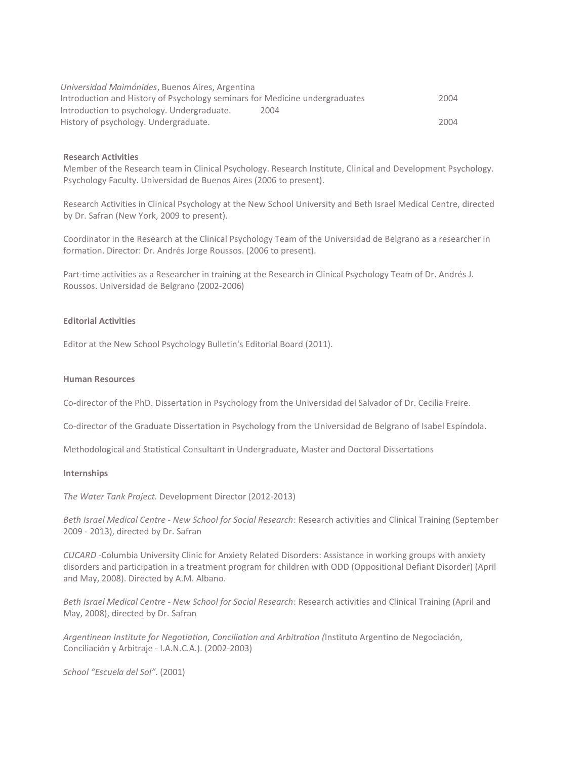| Universidad Maimónides, Buenos Aires, Argentina                             |      |
|-----------------------------------------------------------------------------|------|
| Introduction and History of Psychology seminars for Medicine undergraduates | 2004 |
| Introduction to psychology. Undergraduate.<br>2004                          |      |
| History of psychology. Undergraduate.                                       | 2004 |

#### **Research Activities**

Member of the Research team in Clinical Psychology. Research Institute, Clinical and Development Psychology. Psychology Faculty. Universidad de Buenos Aires (2006 to present).

Research Activities in Clinical Psychology at the New School University and Beth Israel Medical Centre, directed by Dr. Safran (New York, 2009 to present).

Coordinator in the Research at the Clinical Psychology Team of the Universidad de Belgrano as a researcher in formation. Director: Dr. Andrés Jorge Roussos. (2006 to present).

Part-time activities as a Researcher in training at the Research in Clinical Psychology Team of Dr. Andrés J. Roussos. Universidad de Belgrano (2002-2006)

## **Editorial Activities**

Editor at the New School Psychology Bulletin's Editorial Board (2011).

#### **Human Resources**

Co-director of the PhD. Dissertation in Psychology from the Universidad del Salvador of Dr. Cecilia Freire.

Co-director of the Graduate Dissertation in Psychology from the Universidad de Belgrano of Isabel Espíndola.

Methodological and Statistical Consultant in Undergraduate, Master and Doctoral Dissertations

#### **Internships**

*The Water Tank Project.* Development Director (2012-2013)

*Beth Israel Medical Centre - New School for Social Research*: Research activities and Clinical Training (September 2009 - 2013), directed by Dr. Safran

*CUCARD* -Columbia University Clinic for Anxiety Related Disorders: Assistance in working groups with anxiety disorders and participation in a treatment program for children with ODD (Oppositional Defiant Disorder) (April and May, 2008). Directed by A.M. Albano.

*Beth Israel Medical Centre - New School for Social Research*: Research activities and Clinical Training (April and May, 2008), directed by Dr. Safran

*Argentinean Institute for Negotiation, Conciliation and Arbitration (*Instituto Argentino de Negociación, Conciliación y Arbitraje - I.A.N.C.A.). (2002-2003)

*School "Escuela del Sol"*. (2001)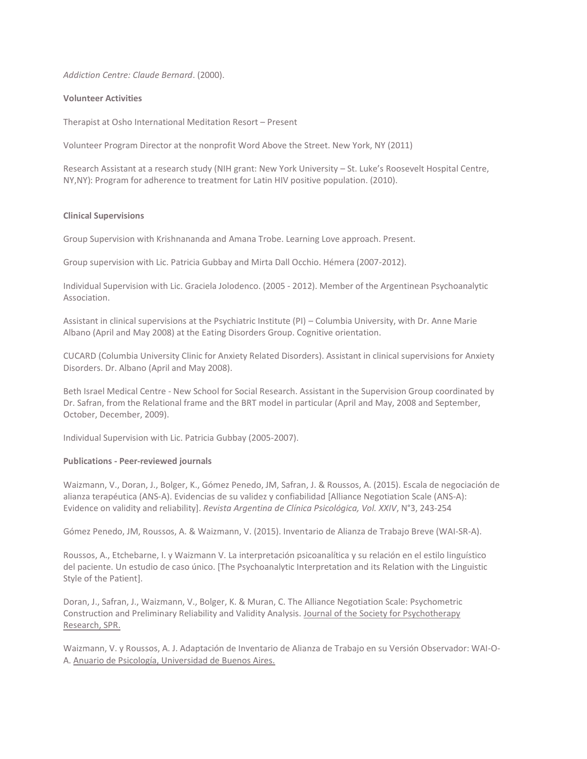*Addiction Centre: Claude Bernard*. (2000).

#### **Volunteer Activities**

Therapist at Osho International Meditation Resort – Present

Volunteer Program Director at the nonprofit Word Above the Street. New York, NY (2011)

Research Assistant at a research study (NIH grant: New York University – St. Luke's Roosevelt Hospital Centre, NY,NY): Program for adherence to treatment for Latin HIV positive population. (2010).

## **Clinical Supervisions**

Group Supervision with Krishnananda and Amana Trobe. Learning Love approach. Present.

Group supervision with Lic. Patricia Gubbay and Mirta Dall Occhio. Hémera (2007-2012).

Individual Supervision with Lic. Graciela Jolodenco. (2005 - 2012). Member of the Argentinean Psychoanalytic Association.

Assistant in clinical supervisions at the Psychiatric Institute (PI) – Columbia University, with Dr. Anne Marie Albano (April and May 2008) at the Eating Disorders Group. Cognitive orientation.

CUCARD (Columbia University Clinic for Anxiety Related Disorders). Assistant in clinical supervisions for Anxiety Disorders. Dr. Albano (April and May 2008).

Beth Israel Medical Centre - New School for Social Research. Assistant in the Supervision Group coordinated by Dr. Safran, from the Relational frame and the BRT model in particular (April and May, 2008 and September, October, December, 2009).

Individual Supervision with Lic. Patricia Gubbay (2005-2007).

## **Publications - Peer-reviewed journals**

Waizmann, V., Doran, J., Bolger, K., Gómez Penedo, JM, Safran, J. & Roussos, A. (2015). Escala de negociación de alianza terapéutica (ANS-A). Evidencias de su validez y confiabilidad [Alliance Negotiation Scale (ANS-A): Evidence on validity and reliability]. *Revista Argentina de Clínica Psicológica, Vol. XXIV*, N°3, 243-254

Gómez Penedo, JM, Roussos, A. & Waizmann, V. (2015). Inventario de Alianza de Trabajo Breve (WAI-SR-A).

Roussos, A., Etchebarne, I. y Waizmann V. La interpretación psicoanalítica y su relación en el estilo linguístico del paciente. Un estudio de caso único. [The Psychoanalytic Interpretation and its Relation with the Linguistic Style of the Patient].

Doran, J., Safran, J., Waizmann, V., Bolger, K. & Muran, C. The Alliance Negotiation Scale: Psychometric Construction and Preliminary Reliability and Validity Analysis. Journal of the Society for Psychotherapy Research, SPR.

Waizmann, V. y Roussos, A. J. Adaptación de Inventario de Alianza de Trabajo en su Versión Observador: WAI-O-A. Anuario de Psicología, Universidad de Buenos Aires.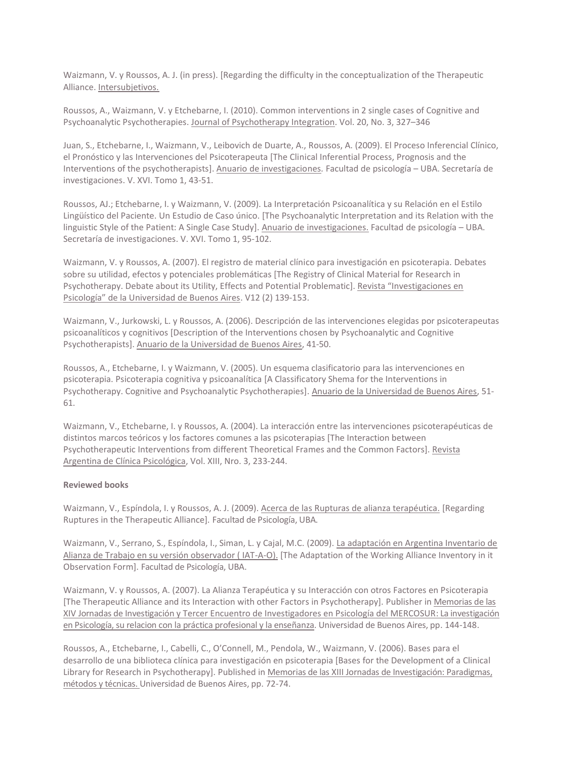Waizmann, V. y Roussos, A. J. (in press). [Regarding the difficulty in the conceptualization of the Therapeutic Alliance. Intersubjetivos.

Roussos, A., Waizmann, V. y Etchebarne, I. (2010). Common interventions in 2 single cases of Cognitive and Psychoanalytic Psychotherapies. Journal of Psychotherapy Integration. Vol. 20, No. 3, 327–346

Juan, S., Etchebarne, I., Waizmann, V., Leibovich de Duarte, A., Roussos, A. (2009). El Proceso Inferencial Clínico, el Pronóstico y las Intervenciones del Psicoterapeuta [The Clinical Inferential Process, Prognosis and the Interventions of the psychotherapists]. Anuario de investigaciones*.* Facultad de psicología – UBA. Secretaría de investigaciones. V. XVI. Tomo 1, 43-51.

Roussos, AJ.; Etchebarne, I. y Waizmann, V. (2009). La Interpretación Psicoanalítica y su Relación en el Estilo Lingüístico del Paciente. Un Estudio de Caso único. [The Psychoanalytic Interpretation and its Relation with the linguistic Style of the Patient: A Single Case Study]. Anuario de investigaciones. Facultad de psicología – UBA. Secretaría de investigaciones. V. XVI. Tomo 1, 95-102.

Waizmann, V. y Roussos, A. (2007). El registro de material clínico para investigación en psicoterapia. Debates sobre su utilidad, efectos y potenciales problemáticas [The Registry of Clinical Material for Research in Psychotherapy. Debate about its Utility, Effects and Potential Problematic]. Revista "Investigaciones en Psicología" de la Universidad de Buenos Aires. V12 (2) 139-153.

Waizmann, V., Jurkowski, L. y Roussos, A. (2006). Descripción de las intervenciones elegidas por psicoterapeutas psicoanalíticos y cognitivos [Description of the Interventions chosen by Psychoanalytic and Cognitive Psychotherapists]. Anuario de la Universidad de Buenos Aires, 41-50.

Roussos, A., Etchebarne, I. y Waizmann, V. (2005). Un esquema clasificatorio para las intervenciones en psicoterapia. Psicoterapia cognitiva y psicoanalítica [A Classificatory Shema for the Interventions in Psychotherapy. Cognitive and Psychoanalytic Psychotherapies]. Anuario de la Universidad de Buenos Aires, 51- 61.

Waizmann, V., Etchebarne, I. y Roussos, A. (2004). La interacción entre las intervenciones psicoterapéuticas de distintos marcos teóricos y los factores comunes a las psicoterapias [The Interaction between Psychotherapeutic Interventions from different Theoretical Frames and the Common Factors]. Revista Argentina de Clínica Psicológica, Vol. XIII, Nro. 3, 233-244.

## **Reviewed books**

Waizmann, V., Espíndola, I. y Roussos, A. J. (2009). Acerca de las Rupturas de alianza terapéutica. [Regarding Ruptures in the Therapeutic Alliance]. Facultad de Psicología, UBA.

Waizmann, V., Serrano, S., Espíndola, I., Siman, L. y Cajal, M.C. (2009). La adaptación en Argentina Inventario de Alianza de Trabajo en su versión observador ( IAT-A-O). [The Adaptation of the Working Alliance Inventory in it Observation Form]. Facultad de Psicología, UBA.

Waizmann, V. y Roussos, A. (2007). La Alianza Terapéutica y su Interacción con otros Factores en Psicoterapia [The Therapeutic Alliance and its Interaction with other Factors in Psychotherapy]. Publisher in Memorias de las XIV Jornadas de Investigación y Tercer Encuentro de Investigadores en Psicología del MERCOSUR: La investigación en Psicología, su relacion con la práctica profesional y la enseñanza. Universidad de Buenos Aires, pp. 144-148.

Roussos, A., Etchebarne, I., Cabelli, C., O'Connell, M., Pendola, W., Waizmann, V. (2006). Bases para el desarrollo de una biblioteca clínica para investigación en psicoterapia [Bases for the Development of a Clinical Library for Research in Psychotherapy]. Published in Memorias de las XIII Jornadas de Investigación: Paradigmas, métodos y técnicas. Universidad de Buenos Aires, pp. 72-74.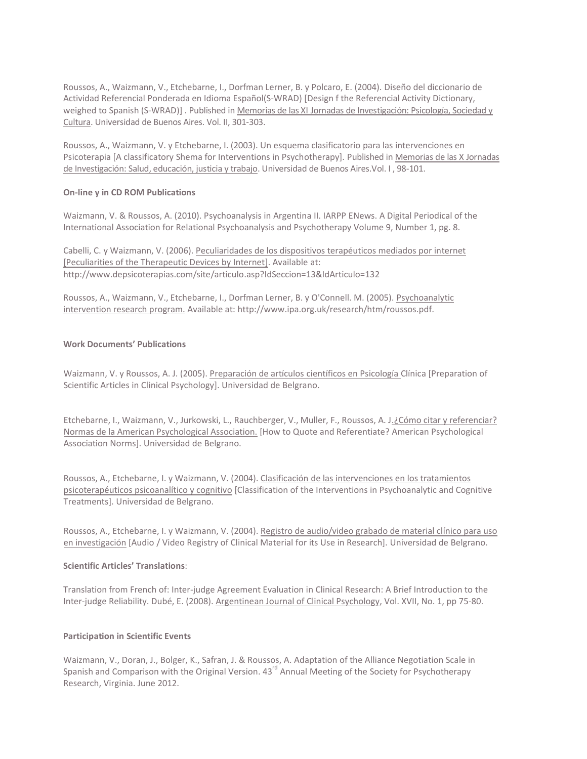Roussos, A., Waizmann, V., Etchebarne, I., Dorfman Lerner, B. y Polcaro, E. (2004). Diseño del diccionario de Actividad Referencial Ponderada en Idioma Español(S-WRAD) [Design f the Referencial Activity Dictionary, weighed to Spanish (S-WRAD)] . Published in Memorias de las XI Jornadas de Investigación: Psicología, Sociedad y Cultura. Universidad de Buenos Aires. Vol. II, 301-303.

Roussos, A., Waizmann, V. y Etchebarne, I. (2003). Un esquema clasificatorio para las intervenciones en Psicoterapia [A classificatory Shema for Interventions in Psychotherapy]. Published in Memorias de las X Jornadas de Investigación: Salud, educación, justicia y trabajo. Universidad de Buenos Aires.Vol. I, 98-101.

## **On-line y in CD ROM Publications**

Waizmann, V. & Roussos, A. (2010). Psychoanalysis in Argentina II. IARPP ENews. A Digital Periodical of the International Association for Relational Psychoanalysis and Psychotherapy Volume 9, Number 1, pg. 8.

Cabelli, C. y Waizmann, V. (2006). Peculiaridades de los dispositivos terapéuticos mediados por internet [Peculiarities of the Therapeutic Devices by Internet]. Available at: http://www.depsicoterapias.com/site/articulo.asp?IdSeccion=13&IdArticulo=132

Roussos, A., Waizmann, V., Etchebarne, I., Dorfman Lerner, B. y O'Connell. M. (2005). Psychoanalytic intervention research program. Available at: http://www.ipa.org.uk/research/htm/roussos.pdf.

## **Work Documents' Publications**

Waizmann, V. y Roussos, A. J. (2005). Preparación de artículos científicos en Psicología Clínica [Preparation of Scientific Articles in Clinical Psychology]. Universidad de Belgrano.

Etchebarne, I., Waizmann, V., Jurkowski, L., Rauchberger, V., Muller, F., Roussos, A. J.¿Cómo citar y referenciar? Normas de la American Psychological Association. [How to Quote and Referentiate? American Psychological Association Norms]. Universidad de Belgrano.

Roussos, A., Etchebarne, I. y Waizmann, V. (2004). Clasificación de las intervenciones en los tratamientos psicoterapéuticos psicoanalítico y cognitivo [Classification of the Interventions in Psychoanalytic and Cognitive Treatments]. Universidad de Belgrano.

Roussos, A., Etchebarne, I. y Waizmann, V. (2004). Registro de audio/video grabado de material clínico para uso en investigación [Audio / Video Registry of Clinical Material for its Use in Research]. Universidad de Belgrano.

## **Scientific Articles' Translations**:

Translation from French of: Inter-judge Agreement Evaluation in Clinical Research: A Brief Introduction to the Inter-judge Reliability. Dubé, E. (2008). Argentinean Journal of Clinical Psychology, Vol. XVII, No. 1, pp 75-80.

## **Participation in Scientific Events**

Waizmann, V., Doran, J., Bolger, K., Safran, J. & Roussos, A. Adaptation of the Alliance Negotiation Scale in Spanish and Comparison with the Original Version. 43<sup>rd</sup> Annual Meeting of the Society for Psychotherapy Research, Virginia. June 2012.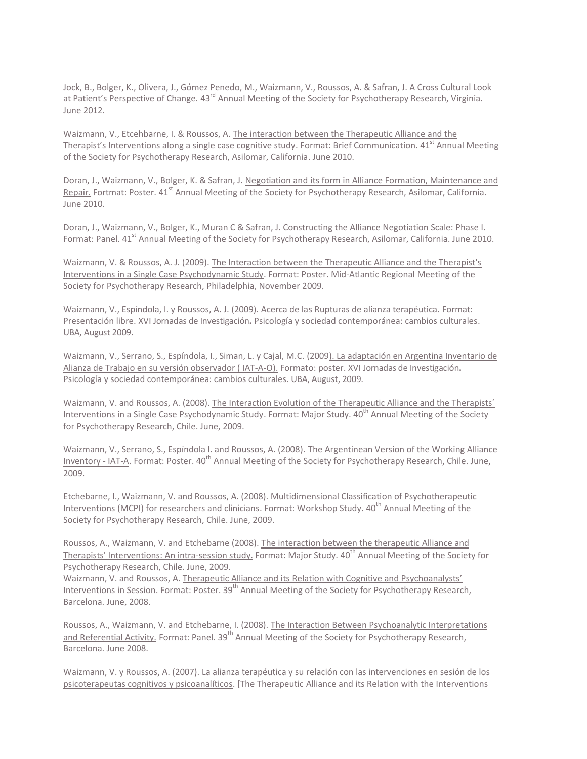Jock, B., Bolger, K., Olivera, J., Gómez Penedo, M., Waizmann, V., Roussos, A. & Safran, J. A Cross Cultural Look at Patient's Perspective of Change. 43<sup>rd</sup> Annual Meeting of the Society for Psychotherapy Research, Virginia. June 2012.

Waizmann, V., Etcehbarne, I. & Roussos, A. The interaction between the Therapeutic Alliance and the Therapist's Interventions along a single case cognitive study. Format: Brief Communication. 41<sup>st</sup> Annual Meeting of the Society for Psychotherapy Research, Asilomar, California. June 2010.

Doran, J., Waizmann, V., Bolger, K. & Safran, J. Negotiation and its form in Alliance Formation, Maintenance and Repair. Fortmat: Poster. 41<sup>st</sup> Annual Meeting of the Society for Psychotherapy Research. Asilomar, California. June 2010.

Doran, J., Waizmann, V., Bolger, K., Muran C & Safran, J. Constructing the Alliance Negotiation Scale: Phase I. Format: Panel. 41<sup>st</sup> Annual Meeting of the Society for Psychotherapy Research, Asilomar, California. June 2010.

Waizmann, V. & Roussos, A. J. (2009). The Interaction between the Therapeutic Alliance and the Therapist's Interventions in a Single Case Psychodynamic Study. Format: Poster. Mid-Atlantic Regional Meeting of the Society for Psychotherapy Research, Philadelphia, November 2009.

Waizmann, V., Espíndola, I. y Roussos, A. J. (2009). Acerca de las Rupturas de alianza terapéutica. Format: Presentación libre. XVI Jornadas de Investigación**.** Psicología y sociedad contemporánea: cambios culturales. UBA, August 2009.

Waizmann, V., Serrano, S., Espíndola, I., Siman, L. y Cajal, M.C. (2009). La adaptación en Argentina Inventario de Alianza de Trabajo en su versión observador ( IAT-A-O). Formato: poster. XVI Jornadas de Investigación**.**  Psicología y sociedad contemporánea: cambios culturales. UBA, August, 2009.

Waizmann, V. and Roussos, A. (2008). The Interaction Evolution of the Therapeutic Alliance and the Therapists' Interventions in a Single Case Psychodynamic Study. Format: Major Study. 40<sup>th</sup> Annual Meeting of the Society for Psychotherapy Research, Chile. June, 2009.

Waizmann, V., Serrano, S., Espíndola I. and Roussos, A. (2008). The Argentinean Version of the Working Alliance Inventory - IAT-A. Format: Poster. 40<sup>th</sup> Annual Meeting of the Society for Psychotherapy Research, Chile. June, 2009.

Etchebarne, I., Waizmann, V. and Roussos, A. (2008). Multidimensional Classification of Psychotherapeutic Interventions (MCPI) for researchers and clinicians. Format: Workshop Study. 40<sup>th</sup> Annual Meeting of the Society for Psychotherapy Research, Chile. June, 2009.

Roussos, A., Waizmann, V. and Etchebarne (2008). The interaction between the therapeutic Alliance and Therapists' Interventions: An intra-session study. Format: Major Study. 40<sup>th</sup> Annual Meeting of the Society for Psychotherapy Research, Chile. June, 2009.

Waizmann, V. and Roussos, A. Therapeutic Alliance and its Relation with Cognitive and Psychoanalysts' Interventions in Session. Format: Poster. 39<sup>th</sup> Annual Meeting of the Society for Psychotherapy Research, Barcelona. June, 2008.

Roussos, A., Waizmann, V. and Etchebarne, I. (2008). The Interaction Between Psychoanalytic Interpretations and Referential Activity. Format: Panel. 39<sup>th</sup> Annual Meeting of the Society for Psychotherapy Research, Barcelona. June 2008.

Waizmann, V. y Roussos, A. (2007). La alianza terapéutica y su relación con las intervenciones en sesión de los psicoterapeutas cognitivos y psicoanalíticos. [The Therapeutic Alliance and its Relation with the Interventions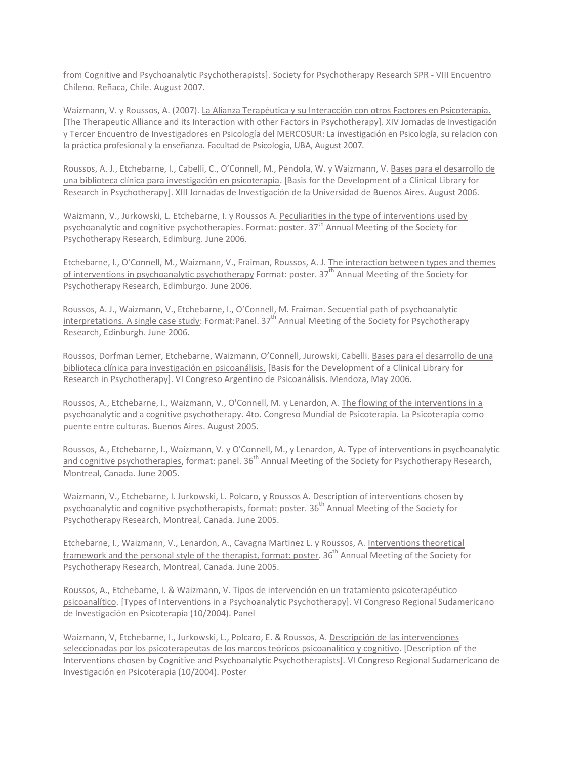from Cognitive and Psychoanalytic Psychotherapists]. Society for Psychotherapy Research SPR - VIII Encuentro Chileno. Reñaca, Chile. August 2007.

Waizmann, V. y Roussos, A. (2007). La Alianza Terapéutica y su Interacción con otros Factores en Psicoterapia. [The Therapeutic Alliance and its Interaction with other Factors in Psychotherapy]. XIV Jornadas de Investigación y Tercer Encuentro de Investigadores en Psicología del MERCOSUR: La investigación en Psicología, su relacion con la práctica profesional y la enseñanza. Facultad de Psicología, UBA, August 2007.

Roussos, A. J., Etchebarne, I., Cabelli, C., O'Connell, M., Péndola, W. y Waizmann, V. Bases para el desarrollo de una biblioteca clínica para investigación en psicoterapia. [Basis for the Development of a Clinical Library for Research in Psychotherapy]. XIII Jornadas de Investigación de la Universidad de Buenos Aires. August 2006.

Waizmann, V., Jurkowski, L. Etchebarne, I. y Roussos A. Peculiarities in the type of interventions used by psychoanalytic and cognitive psychotherapies. Format: poster.  $37<sup>th</sup>$  Annual Meeting of the Society for Psychotherapy Research, Edimburg. June 2006.

Etchebarne, I., O'Connell, M., Waizmann, V., Fraiman, Roussos, A. J. The interaction between types and themes of interventions in psychoanalytic psychotherapy Format: poster. 37<sup>th</sup> Annual Meeting of the Society for Psychotherapy Research, Edimburgo. June 2006.

Roussos, A. J., Waizmann, V., Etchebarne, I., O'Connell, M. Fraiman. Secuential path of psychoanalytic interpretations. A single case study: Format: Panel.  $37<sup>th</sup>$  Annual Meeting of the Society for Psychotherapy Research, Edinburgh. June 2006.

Roussos, Dorfman Lerner, Etchebarne, Waizmann, O'Connell, Jurowski, Cabelli. Bases para el desarrollo de una biblioteca clínica para investigación en psicoanálisis. [Basis for the Development of a Clinical Library for Research in Psychotherapy]. VI Congreso Argentino de Psicoanálisis. Mendoza, May 2006.

Roussos, A., Etchebarne, I., Waizmann, V., O'Connell, M. y Lenardon, A. The flowing of the interventions in a psychoanalytic and a cognitive psychotherapy. 4to. Congreso Mundial de Psicoterapia. La Psicoterapia como puente entre culturas. Buenos Aires. August 2005.

Roussos, A., Etchebarne, I., Waizmann, V. y O'Connell, M., y Lenardon, A. Type of interventions in psychoanalytic and cognitive psychotherapies, format: panel. 36<sup>th</sup> Annual Meeting of the Society for Psychotherapy Research, Montreal, Canada. June 2005.

Waizmann, V., Etchebarne, I. Jurkowski, L. Polcaro, y Roussos A. Description of interventions chosen by psychoanalytic and cognitive psychotherapists, format: poster. 36<sup>th</sup> Annual Meeting of the Society for Psychotherapy Research, Montreal, Canada. June 2005.

Etchebarne, I., Waizmann, V., Lenardon, A., Cavagna Martinez L. y Roussos, A. Interventions theoretical framework and the personal style of the therapist, format: poster. 36<sup>th</sup> Annual Meeting of the Society for Psychotherapy Research, Montreal, Canada. June 2005.

Roussos, A., Etchebarne, I. & Waizmann, V. Tipos de intervención en un tratamiento psicoterapéutico psicoanalítico. [Types of Interventions in a Psychoanalytic Psychotherapy]. VI Congreso Regional Sudamericano de Investigación en Psicoterapia (10/2004). Panel

Waizmann, V, Etchebarne, I., Jurkowski, L., Polcaro, E. & Roussos, A. Descripción de las intervenciones seleccionadas por los psicoterapeutas de los marcos teóricos psicoanalítico y cognitivo. [Description of the Interventions chosen by Cognitive and Psychoanalytic Psychotherapists]. VI Congreso Regional Sudamericano de Investigación en Psicoterapia (10/2004). Poster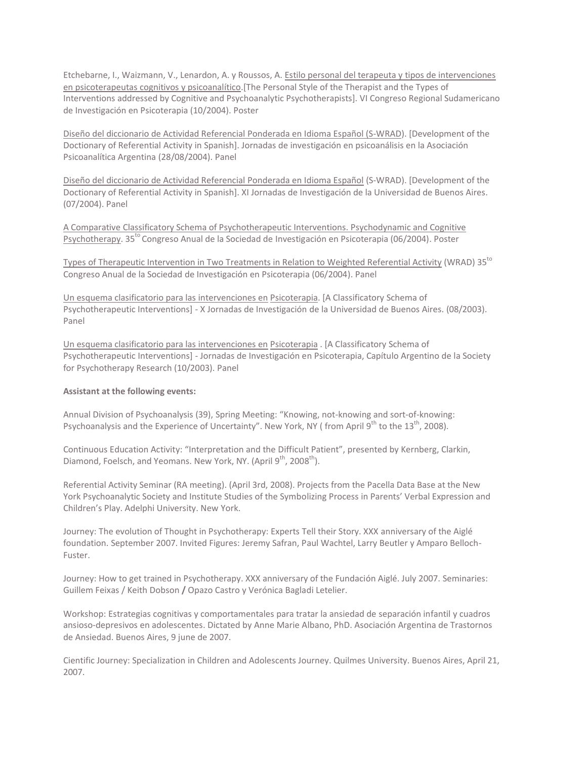Etchebarne, I., Waizmann, V., Lenardon, A. y Roussos, A. Estilo personal del terapeuta y tipos de intervenciones en psicoterapeutas cognitivos y psicoanalítico.[The Personal Style of the Therapist and the Types of Interventions addressed by Cognitive and Psychoanalytic Psychotherapists]. VI Congreso Regional Sudamericano de Investigación en Psicoterapia (10/2004). Poster

Diseño del diccionario de Actividad Referencial Ponderada en Idioma Español (S-WRAD). [Development of the Doctionary of Referential Activity in Spanish]. Jornadas de investigación en psicoanálisis en la Asociación Psicoanalítica Argentina (28/08/2004). Panel

Diseño del diccionario de Actividad Referencial Ponderada en Idioma Español (S-WRAD). [Development of the Doctionary of Referential Activity in Spanish]. XI Jornadas de Investigación de la Universidad de Buenos Aires. (07/2004). Panel

A Comparative Classificatory Schema of Psychotherapeutic Interventions. Psychodynamic and Cognitive Psychotherapy. 35<sup>to</sup> Congreso Anual de la Sociedad de Investigación en Psicoterapia (06/2004). Poster

Types of Therapeutic Intervention in Two Treatments in Relation to Weighted Referential Activity (WRAD)  $35^{10}$ Congreso Anual de la Sociedad de Investigación en Psicoterapia (06/2004). Panel

Un esquema clasificatorio para las intervenciones en Psicoterapia. [A Classificatory Schema of Psychotherapeutic Interventions] - X Jornadas de Investigación de la Universidad de Buenos Aires. (08/2003). Panel

Un esquema clasificatorio para las intervenciones en Psicoterapia . [A Classificatory Schema of Psychotherapeutic Interventions] - Jornadas de Investigación en Psicoterapia, Capítulo Argentino de la Society for Psychotherapy Research (10/2003). Panel

#### **Assistant at the following events:**

Annual Division of Psychoanalysis (39), Spring Meeting: "Knowing, not-knowing and sort-of-knowing: Psychoanalysis and the Experience of Uncertainty". New York, NY (from April 9<sup>th</sup> to the 13<sup>th</sup>, 2008).

Continuous Education Activity: "Interpretation and the Difficult Patient", presented by Kernberg, Clarkin, Diamond, Foelsch, and Yeomans. New York, NY. (April 9<sup>th</sup>, 2008<sup>th</sup>).

Referential Activity Seminar (RA meeting). (April 3rd, 2008). Projects from the Pacella Data Base at the New York Psychoanalytic Society and Institute Studies of the Symbolizing Process in Parents' Verbal Expression and Children's Play. Adelphi University. New York.

Journey: The evolution of Thought in Psychotherapy: Experts Tell their Story. XXX anniversary of the Aiglé foundation. September 2007. Invited Figures: Jeremy Safran, Paul Wachtel, Larry Beutler y Amparo Belloch-Fuster.

Journey: How to get trained in Psychotherapy. XXX anniversary of the Fundación Aiglé. July 2007. Seminaries: Guillem Feixas / Keith Dobson **/** Opazo Castro y Verónica Bagladi Letelier.

Workshop: Estrategias cognitivas y comportamentales para tratar la ansiedad de separación infantil y cuadros ansioso-depresivos en adolescentes. Dictated by Anne Marie Albano, PhD. Asociación Argentina de Trastornos de Ansiedad. Buenos Aires, 9 june de 2007.

Cientific Journey: Specialization in Children and Adolescents Journey. Quilmes University. Buenos Aires, April 21, 2007.